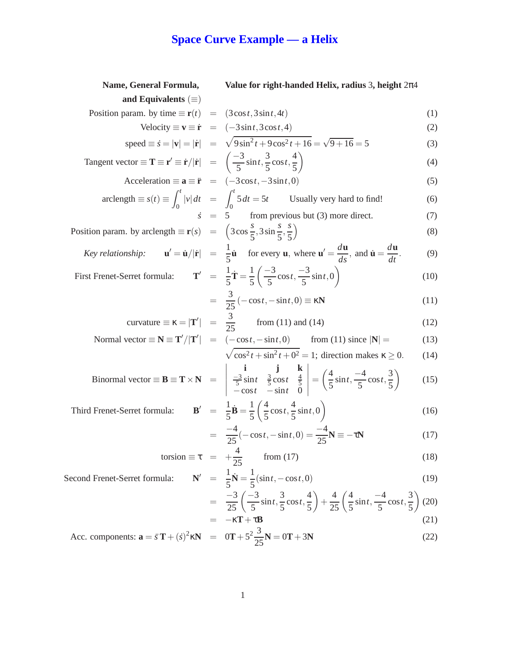## **Space Curve Example — a Helix**

| Name, General Formula,                                                                                                                                                 | Value for right-handed Helix, radius 3, height $2\pi4$                                                                                                                                                                                                                                            |      |
|------------------------------------------------------------------------------------------------------------------------------------------------------------------------|---------------------------------------------------------------------------------------------------------------------------------------------------------------------------------------------------------------------------------------------------------------------------------------------------|------|
| and Equivalents $(\equiv)$                                                                                                                                             |                                                                                                                                                                                                                                                                                                   |      |
| Position param. by time $\equiv \mathbf{r}(t) = (3\cos t, 3\sin t, 4t)$                                                                                                |                                                                                                                                                                                                                                                                                                   | (1)  |
|                                                                                                                                                                        | Velocity $\equiv \mathbf{v} \equiv \dot{\mathbf{r}} = (-3\sin t, 3\cos t, 4)$                                                                                                                                                                                                                     | (2)  |
|                                                                                                                                                                        | speed $\equiv \dot{s} =  \mathbf{v}  =  \dot{\mathbf{r}}  = \sqrt{9\sin^2 t + 9\cos^2 t + 16} = \sqrt{9+16} = 5$                                                                                                                                                                                  | (3)  |
| Tangent vector $\equiv \mathbf{T} \equiv \mathbf{r}' \equiv \dot{\mathbf{r}}/ \dot{\mathbf{r}}  = \left( \frac{-3}{5} \sin t, \frac{3}{5} \cos t, \frac{4}{5} \right)$ |                                                                                                                                                                                                                                                                                                   | (4)  |
| Acceleration $\equiv \mathbf{a} \equiv \ddot{\mathbf{r}} = (-3\cos t, -3\sin t, 0)$                                                                                    |                                                                                                                                                                                                                                                                                                   | (5)  |
|                                                                                                                                                                        | $\text{arclength} \equiv s(t) \equiv \int_{0}^{t}  v  dt = \int_{0}^{t} 5 dt = 5t$ Usually very hard to find!                                                                                                                                                                                     | (6)  |
|                                                                                                                                                                        | from previous but (3) more direct.<br>$\dot{s} = 5$                                                                                                                                                                                                                                               | (7)  |
| Position param. by arclength $\equiv \mathbf{r}(s) = \left(3\cos{\frac{s}{5}}, 3\sin{\frac{s}{5}}, \frac{s}{5}\right)$                                                 |                                                                                                                                                                                                                                                                                                   | (8)  |
|                                                                                                                                                                        | <i>Key relationship:</i> $\mathbf{u}' = \dot{\mathbf{u}} /  \dot{\mathbf{r}}  = \frac{1}{5} \dot{\mathbf{u}}$ for every <b>u</b> , where $\mathbf{u}' = \frac{d\mathbf{u}}{ds}$ , and $\dot{\mathbf{u}} = \frac{d\mathbf{u}}{dt}$ .                                                               | (9)  |
| First Frenet-Serret formula: $\mathbf{T}' = \frac{1}{5}\dot{\mathbf{T}} = \frac{1}{5}\left(\frac{-3}{5}\cos t, \frac{-3}{5}\sin t, 0\right)$                           |                                                                                                                                                                                                                                                                                                   | (10) |
|                                                                                                                                                                        | $=\frac{3}{25}(-\cos t,-\sin t,0)\equiv \kappa N$                                                                                                                                                                                                                                                 | (11) |
|                                                                                                                                                                        | curvature $\equiv \kappa =  \mathbf{T}'  = \frac{3}{25}$ from (11) and (14)                                                                                                                                                                                                                       | (12) |
|                                                                                                                                                                        | Normal vector $\equiv \mathbf{N} \equiv \mathbf{T'}/ \mathbf{T'}  = (-\cos t, -\sin t, 0)$ from (11) since $ \mathbf{N}  =$                                                                                                                                                                       | (13) |
|                                                                                                                                                                        | $\sqrt{\cos^2 t + \sin^2 t + 0^2} = 1$ ; direction makes $\kappa \ge 0$ .                                                                                                                                                                                                                         | (14) |
|                                                                                                                                                                        | Binormal vector $\equiv \mathbf{B} \equiv \mathbf{T} \times \mathbf{N}$ = $\begin{vmatrix} \mathbf{i} & \mathbf{j} & \mathbf{k} \\ \frac{-3}{5}\sin t & \frac{3}{5}\cos t & \frac{4}{5} \\ -\cos t & -\sin t & 0 \end{vmatrix} = \left(\frac{4}{5}\sin t, \frac{-4}{5}\cos t, \frac{3}{5}\right)$ | (15) |
| Third Frenet-Serret formula:                                                                                                                                           | $\mathbf{B}' = \frac{1}{5}\dot{\mathbf{B}} = \frac{1}{5}\left(\frac{4}{5}\cos t, \frac{4}{5}\sin t, 0\right)$                                                                                                                                                                                     | (16) |
|                                                                                                                                                                        | $=\frac{-4}{25}(-\cos t, -\sin t, 0) = \frac{-4}{25}N \equiv -\tau N$                                                                                                                                                                                                                             | (17) |
|                                                                                                                                                                        | torsion $\equiv \tau = +\frac{4}{25}$ from (17)                                                                                                                                                                                                                                                   | (18) |
| Second Frenet-Serret formula:                                                                                                                                          | $N' = \frac{1}{5}\dot{N} = \frac{1}{5}(\sin t, -\cos t, 0)$                                                                                                                                                                                                                                       | (19) |
|                                                                                                                                                                        | $=\frac{-3}{25}\left(\frac{-3}{5}\sin t,\frac{3}{5}\cos t,\frac{4}{5}\right)+\frac{4}{25}\left(\frac{4}{5}\sin t,\frac{-4}{5}\cos t,\frac{3}{5}\right)$                                                                                                                                           | (20) |
|                                                                                                                                                                        | $= -\kappa T + \tau B$                                                                                                                                                                                                                                                                            | (21) |
| Acc. components: $\mathbf{a} = \ddot{s} \mathbf{T} + (\dot{s})^2 \kappa \mathbf{N} = 0\mathbf{T} + 5^2 \frac{3}{25} \mathbf{N} = 0\mathbf{T} + 3\mathbf{N}$            |                                                                                                                                                                                                                                                                                                   | (22) |